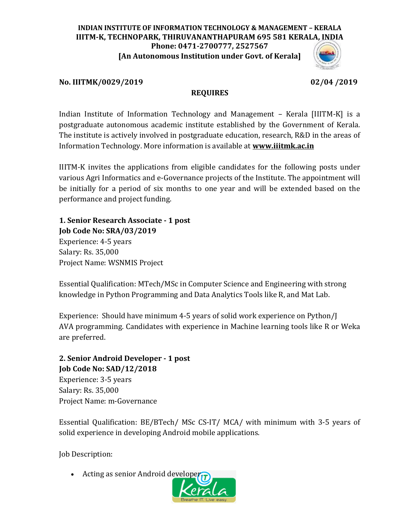## **INDIAN INSTITUTE OF INFORMATION TECHNOLOGY & MANAGEMENT – KERALA IIITM-K, TECHNOPARK, THIRUVANANTHAPURAM 695 581 KERALA, INDIA Phone: 0471-2700777, 2527567 [An Autonomous Institution under Govt. of Kerala]**

## **No. IIITMK/0029/2019 02/04 /2019**

## **REQUIRES**

Indian Institute of Information Technology and Management – Kerala [IIITM-K] is a postgraduate autonomous academic institute established by the Government of Kerala. The institute is actively involved in postgraduate education, research, R&D in the areas of Information Technology. More information is available at **[www.iiitmk.ac.in](http://www.iiitmk.ac.in/)**

IIITM-K invites the applications from eligible candidates for the following posts under various Agri Informatics and e-Governance projects of the Institute. The appointment will be initially for a period of six months to one year and will be extended based on the performance and project funding.

**1. Senior Research Associate - 1 post Job Code No: SRA/03/2019** Experience: 4-5 years Salary: Rs. 35,000 Project Name: WSNMIS Project

Essential Qualification: MTech/MSc in Computer Science and Engineering with strong knowledge in Python Programming and Data Analytics Tools like R, and Mat Lab.

Experience: Should have minimum 4-5 years of solid work experience on Python/J AVA programming. Candidates with experience in Machine learning tools like R or Weka are preferred.

# **2. Senior Android Developer - 1 post Job Code No: SAD/12/2018** Experience: 3-5 years

Salary: Rs. 35,000 Project Name: m-Governance

Essential Qualification: BE/BTech/ MSc CS-IT/ MCA/ with minimum with 3-5 years of solid experience in developing Android mobile applications.

Job Description:

• Acting as senior Android developer

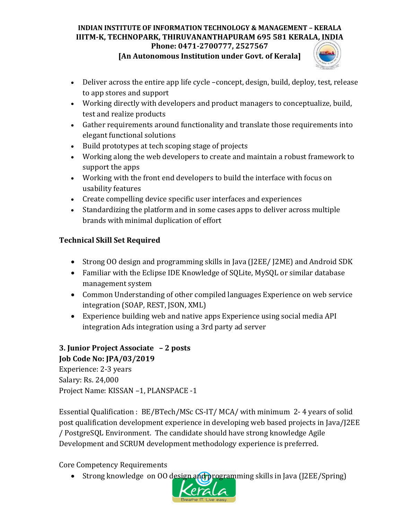## **INDIAN INSTITUTE OF INFORMATION TECHNOLOGY & MANAGEMENT – KERALA IIITM-K, TECHNOPARK, THIRUVANANTHAPURAM 695 581 KERALA, INDIA Phone: 0471-2700777, 2527567**

**[An Autonomous Institution under Govt. of Kerala]**



- Deliver across the entire app life cycle –concept, design, build, deploy, test, release to app stores and support
- Working directly with developers and product managers to conceptualize, build, test and realize products
- Gather requirements around functionality and translate those requirements into elegant functional solutions
- Build prototypes at tech scoping stage of projects
- Working along the web developers to create and maintain a robust framework to support the apps
- Working with the front end developers to build the interface with focus on usability features
- Create compelling device specific user interfaces and experiences
- Standardizing the platform and in some cases apps to deliver across multiple brands with minimal duplication of effort

# **Technical Skill Set Required**

- Strong OO design and programming skills in Java (J2EE/ J2ME) and Android SDK
- Familiar with the Eclipse IDE Knowledge of SQLite, MySQL or similar database management system
- Common Understanding of other compiled languages Experience on web service integration (SOAP, REST, JSON, XML)
- Experience building web and native apps Experience using social media API integration Ads integration using a 3rd party ad server

# **3. Junior Project Associate – 2 posts Job Code No: JPA/03/2019**

Experience: 2-3 years Salary: Rs. 24,000 Project Name: KISSAN –1, PLANSPACE -1

Essential Qualification : BE/BTech/MSc CS-IT/ MCA/ with minimum 2- 4 years of solid post qualification development experience in developing web based projects in Java/J2EE / PostgreSQL Environment. The candidate should have strong knowledge Agile Development and SCRUM development methodology experience is preferred.

Core Competency Requirements

• Strong knowledge on 00 design and programming skills in Java (J2EE/Spring)

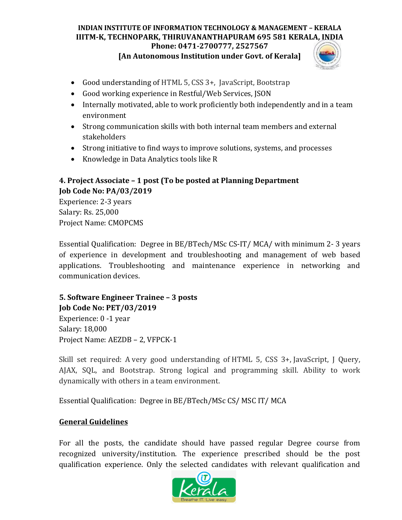### **INDIAN INSTITUTE OF INFORMATION TECHNOLOGY & MANAGEMENT – KERALA IIITM-K, TECHNOPARK, THIRUVANANTHAPURAM 695 581 KERALA, INDIA Phone: 0471-2700777, 2527567**

**[An Autonomous Institution under Govt. of Kerala]**



- Good understanding of HTML 5, CSS 3+, JavaScript, Bootstrap
- Good working experience in Restful/Web Services, JSON
- Internally motivated, able to work proficiently both independently and in a team environment
- Strong communication skills with both internal team members and external stakeholders
- Strong initiative to find ways to improve solutions, systems, and processes
- Knowledge in Data Analytics tools like R

# **4. Project Associate – 1 post (To be posted at Planning Department Job Code No: PA/03/2019**

Experience: 2-3 years Salary: Rs. 25,000 Project Name: CMOPCMS

Essential Qualification: Degree in BE/BTech/MSc CS-IT/ MCA/ with minimum 2- 3 years of experience in development and troubleshooting and management of web based applications. Troubleshooting and maintenance experience in networking and communication devices.

# **5. Software Engineer Trainee – 3 posts Job Code No: PET/03/2019**

Experience: 0 -1 year Salary: 18,000 Project Name: AEZDB – 2, VFPCK-1

Skill set required: A very good understanding of HTML 5, CSS 3+, JavaScript, J Query, AJAX, SQL, and Bootstrap. Strong logical and programming skill. Ability to work dynamically with others in a team environment.

Essential Qualification: Degree in BE/BTech/MSc CS/ MSC IT/ MCA

# **General Guidelines**

For all the posts, the candidate should have passed regular Degree course from recognized university/institution. The experience prescribed should be the post qualification experience. Only the selected candidates with relevant qualification and